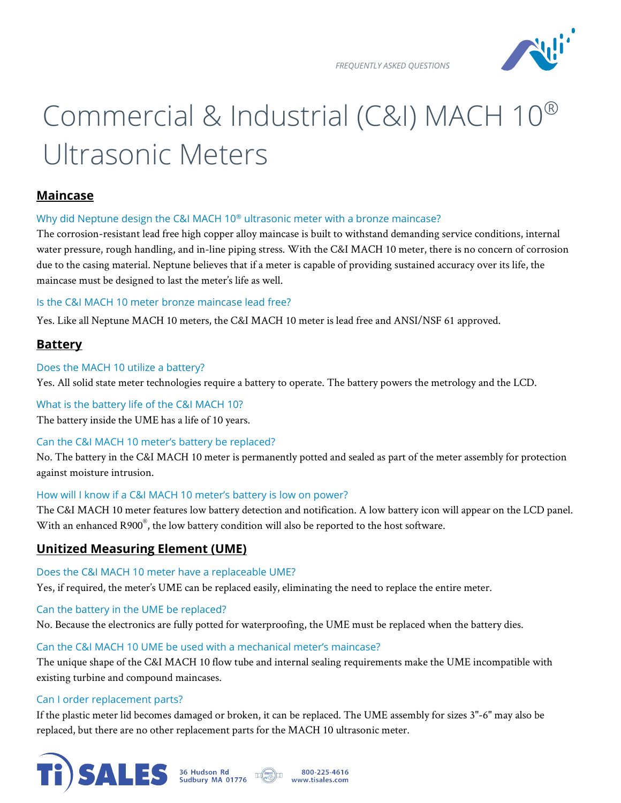*FREQUENTLY ASKED QUESTIONS* 



# Commercial & Industrial (C&I) MACH 10® Ultrasonic Meters

## **Maincase**

#### Why did Neptune design the C&I MACH 10<sup>®</sup> ultrasonic meter with a bronze maincase?

The corrosion-resistant lead free high copper alloy maincase is built to withstand demanding service conditions, internal water pressure, rough handling, and in-line piping stress. With the C&I MACH 10 meter, there is no concern of corrosion due to the casing material. Neptune believes that if a meter is capable of providing sustained accuracy over its life, the maincase must be designed to last the meter's life as well.

#### Is the C&I MACH 10 meter bronze maincase lead free?

Yes. Like all Neptune MACH 10 meters, the C&I MACH 10 meter is lead free and ANSI/NSF 61 approved.

# **Battery**

## Does the MACH 10 utilize a battery?

Yes. All solid state meter technologies require a battery to operate. The battery powers the metrology and the LCD.

## What is the battery life of the C&I MACH 10?

The battery inside the UME has a life of 10 years.

## Can the C&I MACH 10 meter's battery be replaced?

No. The battery in the C&I MACH 10 meter is permanently potted and sealed as part of the meter assembly for protection against moisture intrusion.

## How will I know if a C&I MACH 10 meter's battery is low on power?

The C&I MACH 10 meter features low battery detection and notification. A low battery icon will appear on the LCD panel. With an enhanced R900 $^{\circ}$ , the low battery condition will also be reported to the host software.

# **Unitized Measuring Element (UME)**

## Does the C&I MACH 10 meter have a replaceable UME?

Yes, if required, the meter's UME can be replaced easily, eliminating the need to replace the entire meter.

## Can the battery in the UME be replaced?

No. Because the electronics are fully potted for waterproofing, the UME must be replaced when the battery dies.

## Can the C&I MACH 10 UME be used with a mechanical meter's maincase?

The unique shape of the C&I MACH 10 flow tube and internal sealing requirements make the UME incompatible with existing turbine and compound maincases.

#### Can I order replacement parts?

If the plastic meter lid becomes damaged or broken, it can be replaced. The UME assembly for sizes 3"-6" may also be replaced, but there are no other replacement parts for the MACH 10 ultrasonic meter.

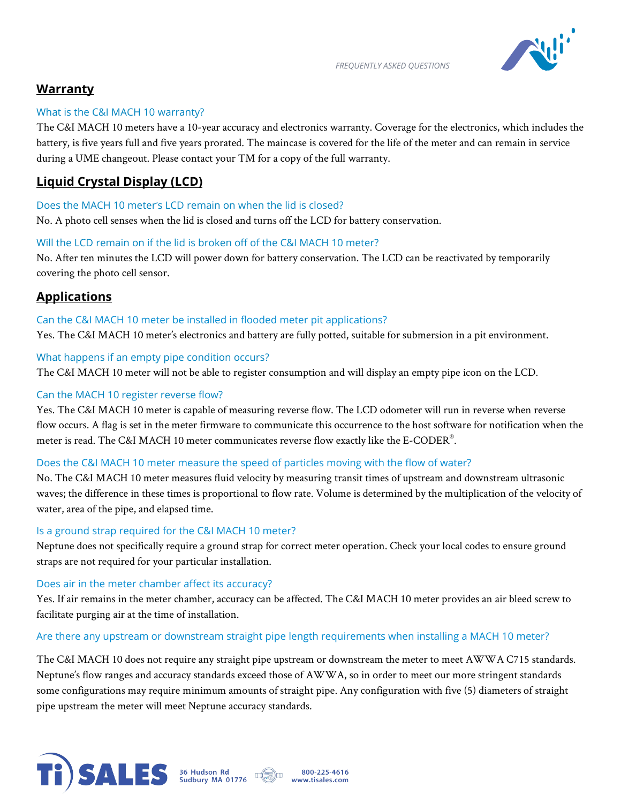



# **Warranty**

## What is the C&I MACH 10 warranty?

The C&I MACH 10 meters have a 10-year accuracy and electronics warranty. Coverage for the electronics, which includes the battery, is five years full and five years prorated. The maincase is covered for the life of the meter and can remain in service during a UME changeout. Please contact your TM for a copy of the full warranty.

# **Liquid Crystal Display (LCD)**

## Does the MACH 10 meter's LCD remain on when the lid is closed?

No. A photo cell senses when the lid is closed and turns off the LCD for battery conservation.

## Will the LCD remain on if the lid is broken off of the C&I MACH 10 meter?

No. After ten minutes the LCD will power down for battery conservation. The LCD can be reactivated by temporarily covering the photo cell sensor.

# **Applications**

Can the C&I MACH 10 meter be installed in flooded meter pit applications? Yes. The C&I MACH 10 meter's electronics and battery are fully potted, suitable for submersion in a pit environment.

## What happens if an empty pipe condition occurs?

The C&I MACH 10 meter will not be able to register consumption and will display an empty pipe icon on the LCD.

## Can the MACH 10 register reverse flow?

Yes. The C&I MACH 10 meter is capable of measuring reverse flow. The LCD odometer will run in reverse when reverse flow occurs. A flag is set in the meter firmware to communicate this occurrence to the host software for notification when the meter is read. The C&I MACH 10 meter communicates reverse flow exactly like the E-CODER $^\circ$ .

## Does the C&I MACH 10 meter measure the speed of particles moving with the flow of water?

No. The C&I MACH 10 meter measures fluid velocity by measuring transit times of upstream and downstream ultrasonic waves; the difference in these times is proportional to flow rate. Volume is determined by the multiplication of the velocity of water, area of the pipe, and elapsed time.

#### Is a ground strap required for the C&I MACH 10 meter?

Neptune does not specifically require a ground strap for correct meter operation. Check your local codes to ensure ground straps are not required for your particular installation.

#### Does air in the meter chamber affect its accuracy?

Yes. If air remains in the meter chamber, accuracy can be affected. The C&I MACH 10 meter provides an air bleed screw to facilitate purging air at the time of installation.

#### Are there any upstream or downstream straight pipe length requirements when installing a MACH 10 meter?

The C&I MACH 10 does not require any straight pipe upstream or downstream the meter to meet AWWA C715 standards. Neptune's flow ranges and accuracy standards exceed those of AWWA, so in order to meet our more stringent standards some configurations may require minimum amounts of straight pipe. Any configuration with five (5) diameters of straight pipe upstream the meter will meet Neptune accuracy standards.



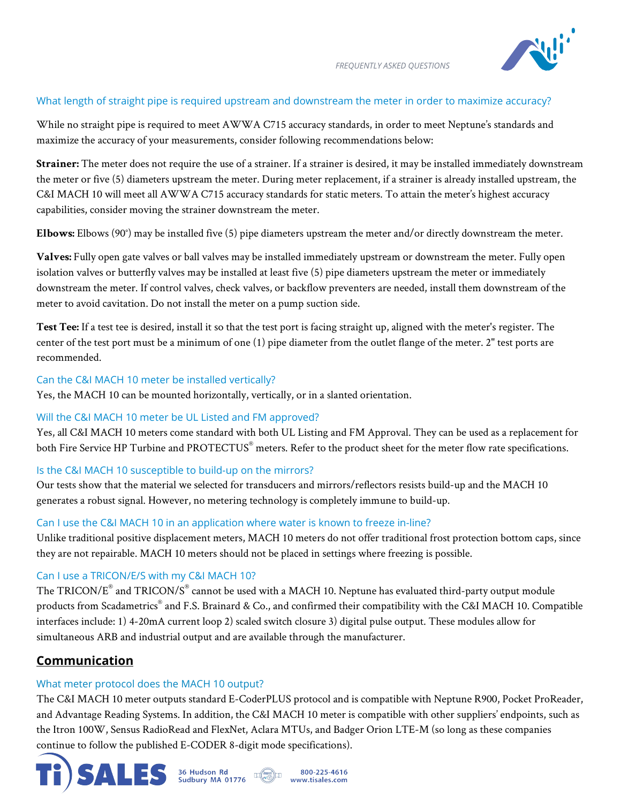

## What length of straight pipe is required upstream and downstream the meter in order to maximize accuracy?

While no straight pipe is required to meet AWWA C715 accuracy standards, in order to meet Neptune's standards and maximize the accuracy of your measurements, consider following recommendations below:

**Strainer:** The meter does not require the use of a strainer. If a strainer is desired, it may be installed immediately downstream the meter or five (5) diameters upstream the meter. During meter replacement, if a strainer is already installed upstream, the C&I MACH 10 will meet all AWWA C715 accuracy standards for static meters. To attain the meter's highest accuracy capabilities, consider moving the strainer downstream the meter.

**Elbows:** Elbows (90°) may be installed five (5) pipe diameters upstream the meter and/or directly downstream the meter.

**Valves:** Fully open gate valves or ball valves may be installed immediately upstream or downstream the meter. Fully open isolation valves or butterfly valves may be installed at least five (5) pipe diameters upstream the meter or immediately downstream the meter. If control valves, check valves, or backflow preventers are needed, install them downstream of the meter to avoid cavitation. Do not install the meter on a pump suction side.

**Test Tee:** If a test tee is desired, install it so that the test port is facing straight up, aligned with the meter's register. The center of the test port must be a minimum of one (1) pipe diameter from the outlet flange of the meter. 2" test ports are recommended.

#### Can the C&I MACH 10 meter be installed vertically?

Yes, the MACH 10 can be mounted horizontally, vertically, or in a slanted orientation.

#### Will the C&I MACH 10 meter be UL Listed and FM approved?

Yes, all C&I MACH 10 meters come standard with both UL Listing and FM Approval. They can be used as a replacement for both Fire Service HP Turbine and PROTECTUS<sup>®</sup> meters. Refer to the product sheet for the meter flow rate specifications.

#### Is the C&I MACH 10 susceptible to build-up on the mirrors?

Our tests show that the material we selected for transducers and mirrors/reflectors resists build-up and the MACH 10 generates a robust signal. However, no metering technology is completely immune to build-up.

#### Can I use the C&I MACH 10 in an application where water is known to freeze in-line?

Unlike traditional positive displacement meters, MACH 10 meters do not offer traditional frost protection bottom caps, since they are not repairable. MACH 10 meters should not be placed in settings where freezing is possible.

#### Can I use a TRICON/E/S with my C&I MACH 10?

The TRICON/E® and TRICON/S® cannot be used with a MACH 10. Neptune has evaluated third-party output module products from Scadametrics® and F.S. Brainard & Co., and confirmed their compatibility with the C&I MACH 10. Compatible interfaces include: 1) 4-20mA current loop 2) scaled switch closure 3) digital pulse output. These modules allow for simultaneous ARB and industrial output and are available through the manufacturer.

## **Communication**

#### What meter protocol does the MACH 10 output?

The C&I MACH 10 meter outputs standard E-CoderPLUS protocol and is compatible with Neptune R900, Pocket ProReader, and Advantage Reading Systems. In addition, the C&I MACH 10 meter is compatible with other suppliers' endpoints, such as the Itron 100W, Sensus RadioRead and FlexNet, Aclara MTUs, and Badger Orion LTE-M (so long as these companies continue to follow the published E-CODER 8-digit mode specifications).

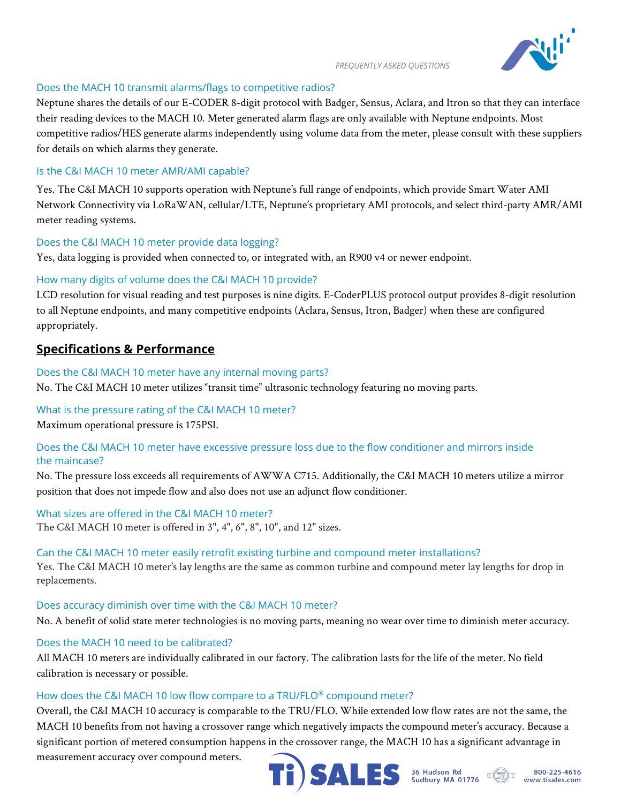

#### *FREQUENTLY ASKED QUESTIONS*

## Does the MACH 10 transmit alarms/flags to competitive radios?

Neptune shares the details of our E-CODER 8-digit protocol with Badger, Sensus, Aclara, and Itron so that they can interface their reading devices to the MACH 10. Meter generated alarm flags are only available with Neptune endpoints. Most competitive radios/HES generate alarms independently using volume data from the meter, please consult with these suppliers for details on which alarms they generate.

## Is the C&I MACH 10 meter AMR/AMI capable?

Yes. The C&I MACH 10 supports operation with Neptune's full range of endpoints, which provide Smart Water AMI Network Connectivity via LoRaWAN, cellular/LTE, Neptune's proprietary AMI protocols, and select third-party AMR/AMI meter reading systems.

## Does the C&I MACH 10 meter provide data logging?

Yes, data logging is provided when connected to, or integrated with, an R900 v4 or newer endpoint.

## How many digits of volume does the C&I MACH 10 provide?

LCD resolution for visual reading and test purposes is nine digits. E-CoderPLUS protocol output provides 8-digit resolution to all Neptune endpoints, and many competitive endpoints (Aclara, Sensus, Itron, Badger) when these are configured appropriately.

# **Specifications & Performance**

Does the C&I MACH 10 meter have any internal moving parts? No. The C&I MACH 10 meter utilizes "transit time" ultrasonic technology featuring no moving parts.

## What is the pressure rating of the C&I MACH 10 meter?

Maximum operational pressure is 175PSI.

## Does the C&I MACH 10 meter have excessive pressure loss due to the flow conditioner and mirrors inside the maincase?

No. The pressure loss exceeds all requirements of AWWA C715. Additionally, the C&I MACH 10 meters utilize a mirror position that does not impede flow and also does not use an adjunct flow conditioner.

## What sizes are offered in the C&I MACH 10 meter? The C&I MACH 10 meter is offered in 3", 4", 6", 8", 10", and 12" sizes.

#### Can the C&I MACH 10 meter easily retrofit existing turbine and compound meter installations?

Yes. The C&I MACH 10 meter's lay lengths are the same as common turbine and compound meter lay lengths for drop in replacements.

## Does accuracy diminish over time with the C&I MACH 10 meter?

No. A benefit of solid state meter technologies is no moving parts, meaning no wear over time to diminish meter accuracy.

## Does the MACH 10 need to be calibrated?

All MACH 10 meters are individually calibrated in our factory. The calibration lasts for the life of the meter. No field calibration is necessary or possible.

#### How does the C&I MACH 10 low flow compare to a TRU/FLO® compound meter?

Overall, the C&I MACH 10 accuracy is comparable to the TRU/FLO. While extended low flow rates are not the same, the MACH 10 benefits from not having a crossover range which negatively impacts the compound meter's accuracy. Because a significant portion of metered consumption happens in the crossover range, the MACH 10 has a significant advantage in

measurement accuracy over compound meters.